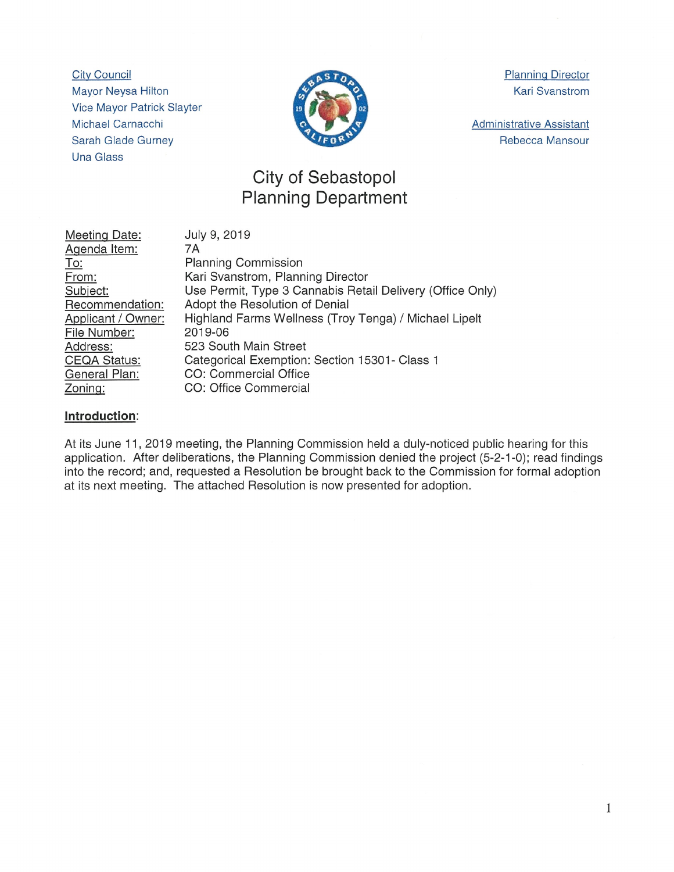City Council Mayor Neysa Hilton Vice Mayor Patrick Slayter Michael Carnacchi Sarah Glade Gurney Una Glass



Planning Director Kari Svanstrom

Administrative Assistant Rebecca Mansour

## City of Sebastopol Planning Department

| Meeting Date:       | July 9, 2019                                              |
|---------------------|-----------------------------------------------------------|
| Agenda Item:        | 7A                                                        |
| <u>To:</u>          | <b>Planning Commission</b>                                |
| From:               | Kari Svanstrom, Planning Director                         |
| Subject:            | Use Permit, Type 3 Cannabis Retail Delivery (Office Only) |
| Recommendation:     | Adopt the Resolution of Denial                            |
| Applicant / Owner:  | Highland Farms Wellness (Troy Tenga) / Michael Lipelt     |
| File Number:        | 2019-06                                                   |
| Address:            | 523 South Main Street                                     |
| <b>CEQA Status:</b> | Categorical Exemption: Section 15301- Class 1             |
| General Plan:       | CO: Commercial Office                                     |
| Zoning:             | CO: Office Commercial                                     |

## Introduction:

At its June 11, 2019 meeting, the Planning Commission held a duly-noticed public hearing for this application. After deliberations, the Planning Commission denied the project (5-2-1-0); read findings into the record; and, requested a Resolution be brought back to the Commission for formal adoption at its next meeting. The attached Resolution is now presented for adoption.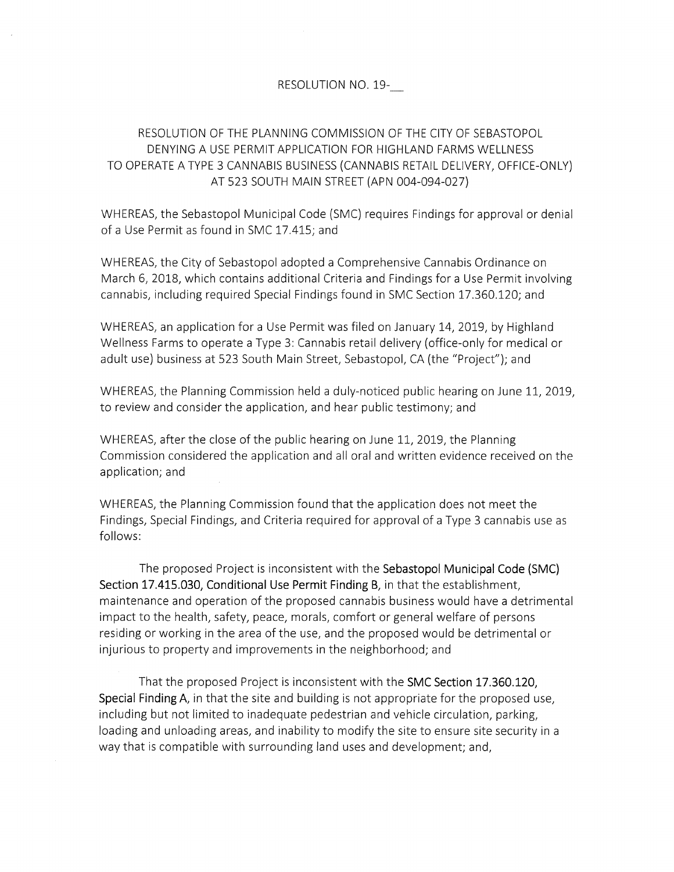## RESOLUTION NO. 19-

## RESOLUTION OF THE PLANNING COMMISSION OF THE CITY OF SEBASTOPOL DENYING A USE PERMIT APPLICATION FOR HIGHLAND FARMS WELLNESS TO OPERATE A TYPE 3 CANNABIS BUSINESS (CANNABIS RETAIL DELIVERY, OFFICE-ONLY) AT 523 SOUTH MAIN STREET (APN 004-094-027)

WHEREAS, the Sebastopol Municipal Code (SMC) requires Findings for approval or denial of <sup>a</sup> Use Permit as found in SMC 17.415; and

WHEREAS, the City of Sebastopol adopted <sup>a</sup> Comprehensive Cannabis Ordinance on March 6, 2018, which contains additional Criteria and Findings for <sup>a</sup> Use Permit involving cannabis, including required Special Findings found in SMC Section 17.360.120; and

WHEREAS, an application for <sup>a</sup> Use Permit was filed on January 14, 2019, by Highland Wellness Farms to operate <sup>a</sup> Type 3: Cannabis retail delivery (office-only for medical or adult use) business at 523 South Main Street, Sebastopol, CA (the "Project"); and

WHEREAS, the Planning Commission held <sup>a</sup> duly-noticed public hearing on June 11, 2019, to review and consider the application, and hear public testimony; and

WHEREAS, after the close of the public hearing on June 11, 2019, the Planning Commission considered the application and all oral and written evidence received on the application; and

WHEREAS, the Planning Commission found that the application does not meet the Findings, Special Findings, and Criteria required for approval of <sup>a</sup> Type <sup>3</sup> cannabis use as follows:

The proposed Project is inconsistent with the Sebastopol Municipal Code (SMC) Section 17.415.030, Conditional Use Permit Finding B, in that the establishment, maintenance and operation of the proposed cannabis business would have <sup>a</sup> detrimental impact to the health, safety, peace, morals, comfort or general welfare of persons residing or working in the area of the use, and the proposed would be detrimental or injurious to property and improvements in the neighborhood; and

That the proposed Project is inconsistent with the SMC Section 17.360.120, Special Finding A, in that the site and building is not appropriate for the proposed use, including but not limited to inadequate pedestrian and vehicle circulation, parking, loading and unloading areas, and inability to modify the site to ensure site security in <sup>a</sup> way that is compatible with surrounding land uses and development; and,